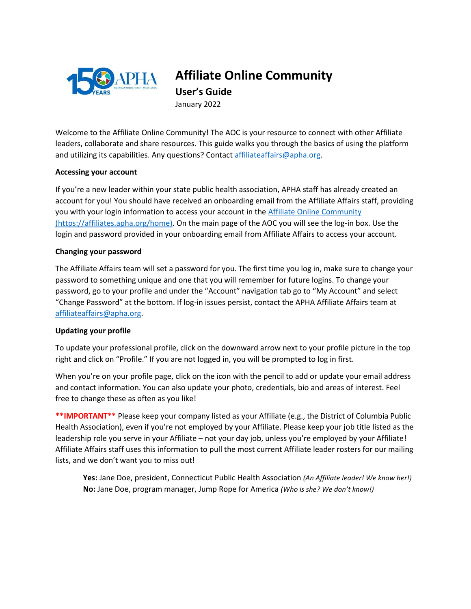

# **Affiliate Online Community**

**User's Guide** January 2022

Welcome to the Affiliate Online Community! The AOC is your resource to connect with other Affiliate leaders, collaborate and share resources. This guide walks you through the basics of using the platform and utilizing its capabilities. Any questions? Contact [affiliateaffairs@apha.org.](mailto:affiliateaffairs@apha.org)

## **Accessing your account**

If you're a new leader within your state public health association, APHA staff has already created an account for you! You should have received an onboarding email from the Affiliate Affairs staff, providing you with your login information to access your account in th[e Affiliate Online Community](https://affiliates.apha.org/home) (https://affiliates.apha.org/home). On the main page of the AOC you will see the log-in box. Use the login and password provided in your onboarding email from Affiliate Affairs to access your account.

## **Changing your password**

The Affiliate Affairs team will set a password for you. The first time you log in, make sure to change your password to something unique and one that you will remember for future logins. To change your password, go to your profile and under the "Account" navigation tab go to "My Account" and select "Change Password" at the bottom. If log-in issues persist, contact the APHA Affiliate Affairs team at [affiliateaffairs@apha.org.](mailto:affiliateaffairs@apha.org)

### **Updating your profile**

To update your professional profile, click on the downward arrow next to your profile picture in the top right and click on "Profile." If you are not logged in, you will be prompted to log in first.

When you're on your profile page, click on the icon with the pencil to add or update your email address and contact information. You can also update your photo, credentials, bio and areas of interest. Feel free to change these as often as you like!

**\*\*IMPORTANT\*\*** Please keep your company listed as your Affiliate (e.g., the District of Columbia Public Health Association), even if you're not employed by your Affiliate. Please keep your job title listed as the leadership role you serve in your Affiliate – not your day job, unless you're employed by your Affiliate! Affiliate Affairs staff uses this information to pull the most current Affiliate leader rosters for our mailing lists, and we don't want you to miss out!

**Yes:** Jane Doe, president, Connecticut Public Health Association *(An Affiliate leader! We know her!)* **No:** Jane Doe, program manager, Jump Rope for America *(Who is she? We don't know!)*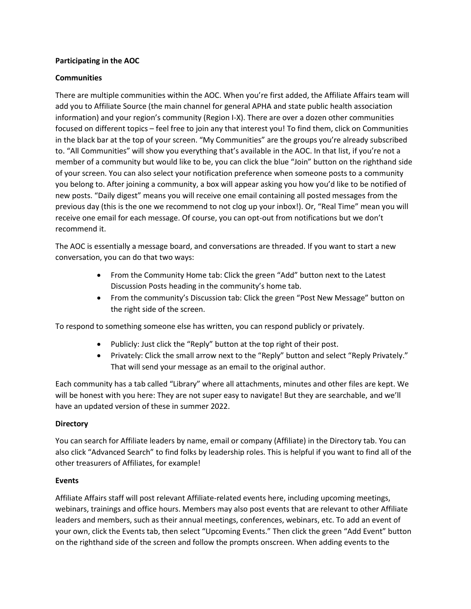## **Participating in the AOC**

## **Communities**

There are multiple communities within the AOC. When you're first added, the Affiliate Affairs team will add you to Affiliate Source (the main channel for general APHA and state public health association information) and your region's community (Region I-X). There are over a dozen other communities focused on different topics – feel free to join any that interest you! To find them, click on Communities in the black bar at the top of your screen. "My Communities" are the groups you're already subscribed to. "All Communities" will show you everything that's available in the AOC. In that list, if you're not a member of a community but would like to be, you can click the blue "Join" button on the righthand side of your screen. You can also select your notification preference when someone posts to a community you belong to. After joining a community, a box will appear asking you how you'd like to be notified of new posts. "Daily digest" means you will receive one email containing all posted messages from the previous day (this is the one we recommend to not clog up your inbox!). Or, "Real Time" mean you will receive one email for each message. Of course, you can opt-out from notifications but we don't recommend it.

The AOC is essentially a message board, and conversations are threaded. If you want to start a new conversation, you can do that two ways:

- From the Community Home tab: Click the green "Add" button next to the Latest Discussion Posts heading in the community's home tab.
- From the community's Discussion tab: Click the green "Post New Message" button on the right side of the screen.

To respond to something someone else has written, you can respond publicly or privately.

- Publicly: Just click the "Reply" button at the top right of their post.
- Privately: Click the small arrow next to the "Reply" button and select "Reply Privately." That will send your message as an email to the original author.

Each community has a tab called "Library" where all attachments, minutes and other files are kept. We will be honest with you here: They are not super easy to navigate! But they are searchable, and we'll have an updated version of these in summer 2022.

### **Directory**

You can search for Affiliate leaders by name, email or company (Affiliate) in the Directory tab. You can also click "Advanced Search" to find folks by leadership roles. This is helpful if you want to find all of the other treasurers of Affiliates, for example!

### **Events**

Affiliate Affairs staff will post relevant Affiliate-related events here, including upcoming meetings, webinars, trainings and office hours. Members may also post events that are relevant to other Affiliate leaders and members, such as their annual meetings, conferences, webinars, etc. To add an event of your own, click the Events tab, then select "Upcoming Events." Then click the green "Add Event" button on the righthand side of the screen and follow the prompts onscreen. When adding events to the